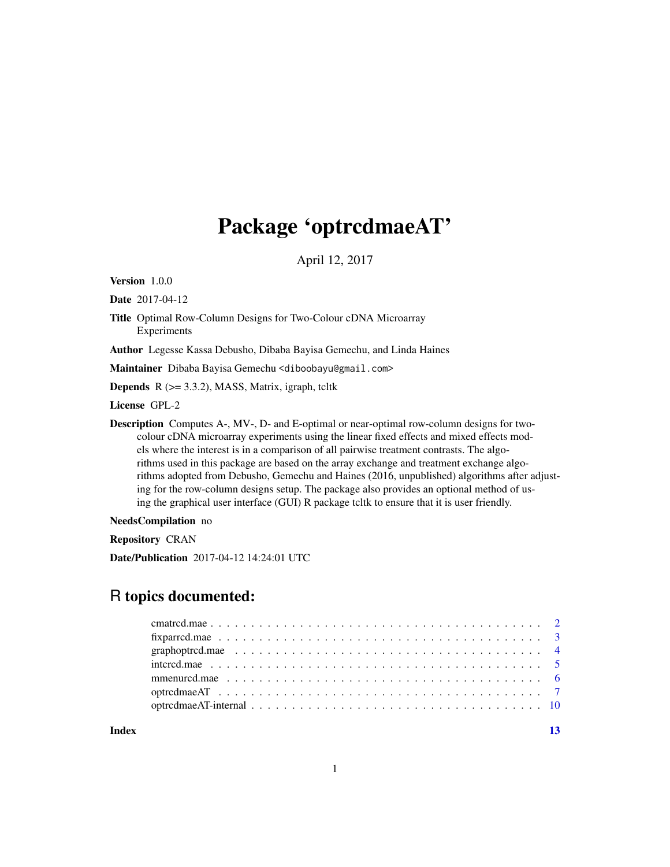## Package 'optrcdmaeAT'

April 12, 2017

<span id="page-0-0"></span>Version 1.0.0

Date 2017-04-12

Title Optimal Row-Column Designs for Two-Colour cDNA Microarray Experiments

Author Legesse Kassa Debusho, Dibaba Bayisa Gemechu, and Linda Haines

Maintainer Dibaba Bayisa Gemechu <diboobayu@gmail.com>

**Depends**  $R$  ( $>= 3.3.2$ ), MASS, Matrix, igraph, tcltk

License GPL-2

Description Computes A-, MV-, D- and E-optimal or near-optimal row-column designs for twocolour cDNA microarray experiments using the linear fixed effects and mixed effects models where the interest is in a comparison of all pairwise treatment contrasts. The algorithms used in this package are based on the array exchange and treatment exchange algorithms adopted from Debusho, Gemechu and Haines (2016, unpublished) algorithms after adjusting for the row-column designs setup. The package also provides an optional method of using the graphical user interface (GUI) R package tcltk to ensure that it is user friendly.

NeedsCompilation no

Repository CRAN

Date/Publication 2017-04-12 14:24:01 UTC

## R topics documented:

**Index** [13](#page-12-0)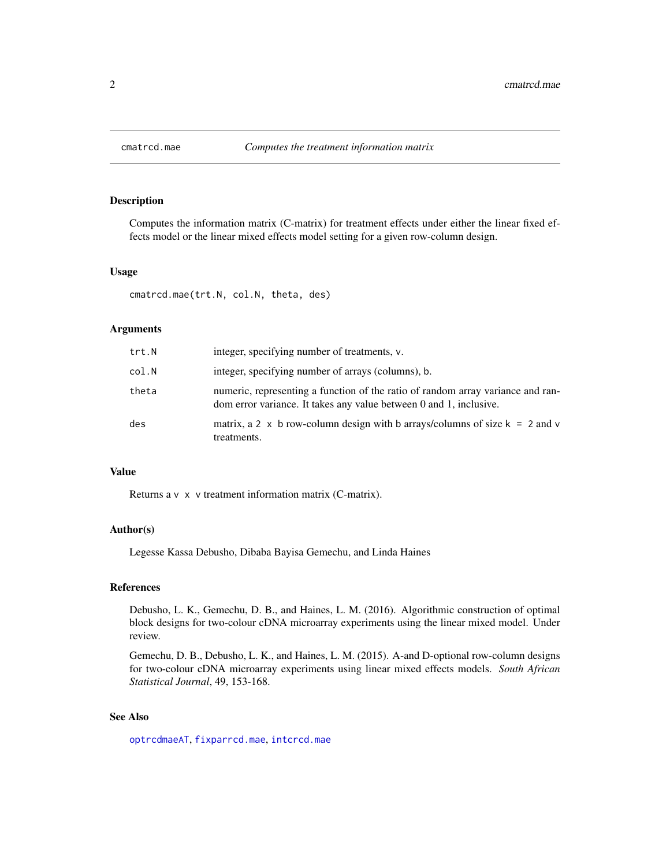<span id="page-1-1"></span><span id="page-1-0"></span>

## Description

Computes the information matrix (C-matrix) for treatment effects under either the linear fixed effects model or the linear mixed effects model setting for a given row-column design.

#### Usage

cmatrcd.mae(trt.N, col.N, theta, des)

#### Arguments

| trt.N | integer, specifying number of treatments, v.                                                                                                          |
|-------|-------------------------------------------------------------------------------------------------------------------------------------------------------|
| col.N | integer, specifying number of arrays (columns), b.                                                                                                    |
| theta | numeric, representing a function of the ratio of random array variance and ran-<br>dom error variance. It takes any value between 0 and 1, inclusive. |
| des   | matrix, a 2 x b row-column design with b arrays/columns of size $k = 2$ and v<br>treatments.                                                          |

## Value

Returns a v x v treatment information matrix (C-matrix).

## Author(s)

Legesse Kassa Debusho, Dibaba Bayisa Gemechu, and Linda Haines

## References

Debusho, L. K., Gemechu, D. B., and Haines, L. M. (2016). Algorithmic construction of optimal block designs for two-colour cDNA microarray experiments using the linear mixed model. Under review.

Gemechu, D. B., Debusho, L. K., and Haines, L. M. (2015). A-and D-optional row-column designs for two-colour cDNA microarray experiments using linear mixed effects models. *South African Statistical Journal*, 49, 153-168.

## See Also

[optrcdmaeAT](#page-6-1), [fixparrcd.mae](#page-2-1), [intcrcd.mae](#page-4-1)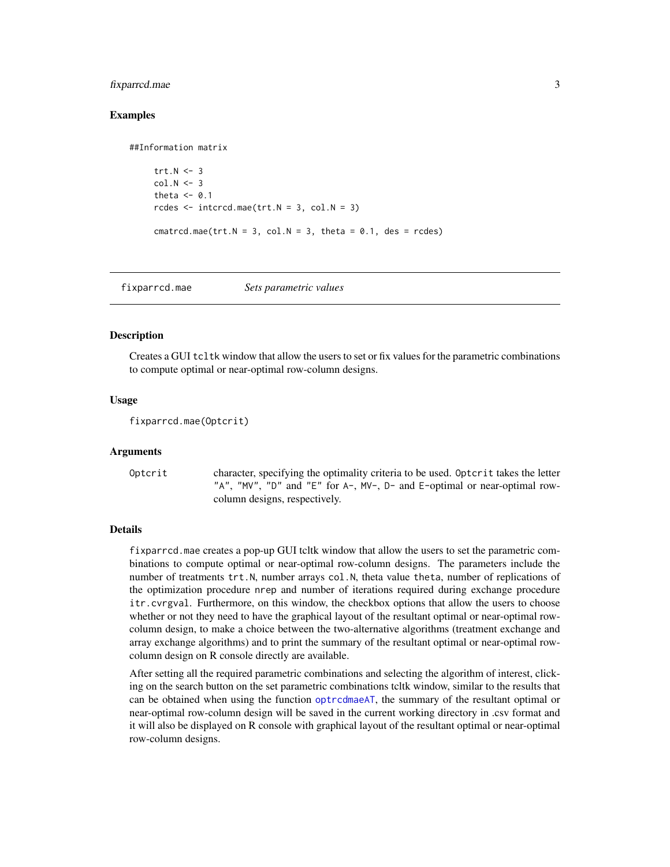## <span id="page-2-0"></span>fixparrcd.mae 3

## Examples

##Information matrix

```
trt.N < -3col.N \le -3theta <-0.1rcdes \le intcrcd.mae(trt.N = 3, col.N = 3)
cmatrcd.mae(trt.N = 3, col.N = 3, theta = 0.1, des = rcdes)
```
<span id="page-2-1"></span>fixparrcd.mae *Sets parametric values*

#### **Description**

Creates a GUI tcltk window that allow the users to set or fix values for the parametric combinations to compute optimal or near-optimal row-column designs.

#### Usage

fixparrcd.mae(Optcrit)

#### Arguments

Optcrit character, specifying the optimality criteria to be used. Optcrit takes the letter "A", "MV", "D" and "E" for A-, MV-, D- and E-optimal or near-optimal rowcolumn designs, respectively.

## Details

fixparrcd.mae creates a pop-up GUI tcltk window that allow the users to set the parametric combinations to compute optimal or near-optimal row-column designs. The parameters include the number of treatments trt.N, number arrays col.N, theta value theta, number of replications of the optimization procedure nrep and number of iterations required during exchange procedure itr.cvrgval. Furthermore, on this window, the checkbox options that allow the users to choose whether or not they need to have the graphical layout of the resultant optimal or near-optimal rowcolumn design, to make a choice between the two-alternative algorithms (treatment exchange and array exchange algorithms) and to print the summary of the resultant optimal or near-optimal rowcolumn design on R console directly are available.

After setting all the required parametric combinations and selecting the algorithm of interest, clicking on the search button on the set parametric combinations tcltk window, similar to the results that can be obtained when using the function [optrcdmaeAT](#page-6-1), the summary of the resultant optimal or near-optimal row-column design will be saved in the current working directory in .csv format and it will also be displayed on R console with graphical layout of the resultant optimal or near-optimal row-column designs.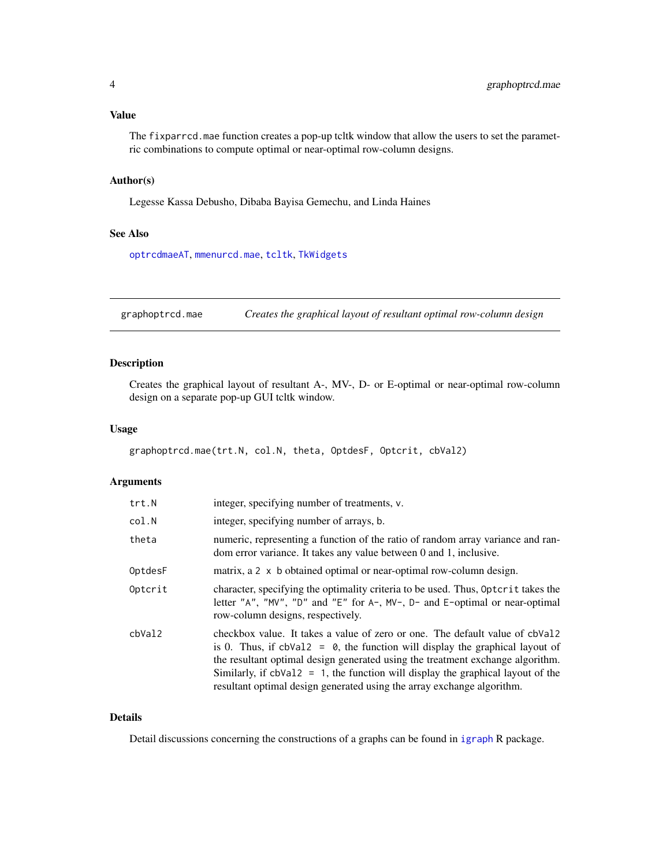## <span id="page-3-0"></span>Value

The fixparrcd.mae function creates a pop-up tcltk window that allow the users to set the parametric combinations to compute optimal or near-optimal row-column designs.

## Author(s)

Legesse Kassa Debusho, Dibaba Bayisa Gemechu, and Linda Haines

## See Also

[optrcdmaeAT](#page-6-1), [mmenurcd.mae](#page-5-1), [tcltk](#page-0-0), [TkWidgets](#page-0-0)

<span id="page-3-1"></span>graphoptrcd.mae *Creates the graphical layout of resultant optimal row-column design*

## Description

Creates the graphical layout of resultant A-, MV-, D- or E-optimal or near-optimal row-column design on a separate pop-up GUI tcltk window.

## Usage

graphoptrcd.mae(trt.N, col.N, theta, OptdesF, Optcrit, cbVal2)

#### Arguments

| trt.N   | integer, specifying number of treatments, v.                                                                                                                                                                                                                                                                                                                                                                      |
|---------|-------------------------------------------------------------------------------------------------------------------------------------------------------------------------------------------------------------------------------------------------------------------------------------------------------------------------------------------------------------------------------------------------------------------|
| col.N   | integer, specifying number of arrays, b.                                                                                                                                                                                                                                                                                                                                                                          |
| theta   | numeric, representing a function of the ratio of random array variance and ran-<br>dom error variance. It takes any value between 0 and 1, inclusive.                                                                                                                                                                                                                                                             |
| OptdesF | matrix, a 2 x b obtained optimal or near-optimal row-column design.                                                                                                                                                                                                                                                                                                                                               |
| Optcrit | character, specifying the optimality criteria to be used. Thus, Optcrit takes the<br>letter "A", "MV", "D" and "E" for $A$ -, MV-, D- and E-optimal or near-optimal<br>row-column designs, respectively.                                                                                                                                                                                                          |
| cbVal2  | checkbox value. It takes a value of zero or one. The default value of cbVa12<br>is 0. Thus, if $cbVal2 = 0$ , the function will display the graphical layout of<br>the resultant optimal design generated using the treatment exchange algorithm.<br>Similarly, if $cbVal2 = 1$ , the function will display the graphical layout of the<br>resultant optimal design generated using the array exchange algorithm. |

#### Details

Detail discussions concerning the constructions of a graphs can be found in [igraph](#page-0-0) R package.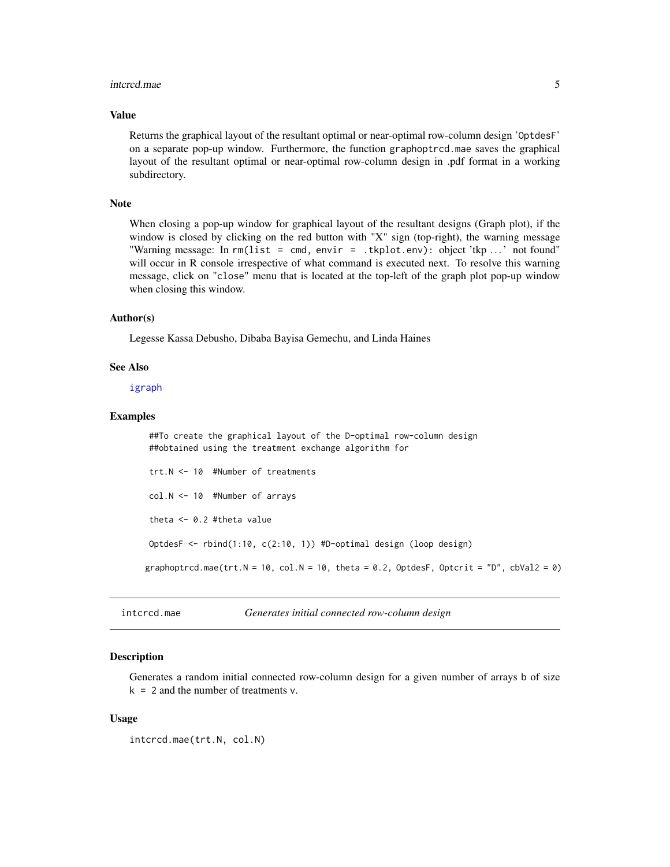#### <span id="page-4-0"></span>intcrcd.mae 5

## Value

Returns the graphical layout of the resultant optimal or near-optimal row-column design 'OptdesF' on a separate pop-up window. Furthermore, the function graphoptrcd.mae saves the graphical layout of the resultant optimal or near-optimal row-column design in .pdf format in a working subdirectory.

#### Note

When closing a pop-up window for graphical layout of the resultant designs (Graph plot), if the window is closed by clicking on the red button with "X" sign (top-right), the warning message "Warning message: In rm(list = cmd, envir = .tkplot.env): object 'tkp . . . ' not found" will occur in R console irrespective of what command is executed next. To resolve this warning message, click on "close" menu that is located at the top-left of the graph plot pop-up window when closing this window.

## Author(s)

Legesse Kassa Debusho, Dibaba Bayisa Gemechu, and Linda Haines

#### See Also

[igraph](#page-0-0)

#### Examples

##To create the graphical layout of the D-optimal row-column design ##obtained using the treatment exchange algorithm for trt.N <- 10 #Number of treatments col.N <- 10 #Number of arrays theta <- 0.2 #theta value OptdesF <- rbind(1:10, c(2:10, 1)) #D-optimal design (loop design) graphoptrcd.mae(trt.N = 10, col.N = 10, theta = 0.2, OptdesF, Optcrit = "D", cbVal2 = 0)

```
intcrcd.mae Generates initial connected row-column design
```
#### Description

Generates a random initial connected row-column design for a given number of arrays b of size  $k = 2$  and the number of treatments v.

#### Usage

```
intcrcd.mae(trt.N, col.N)
```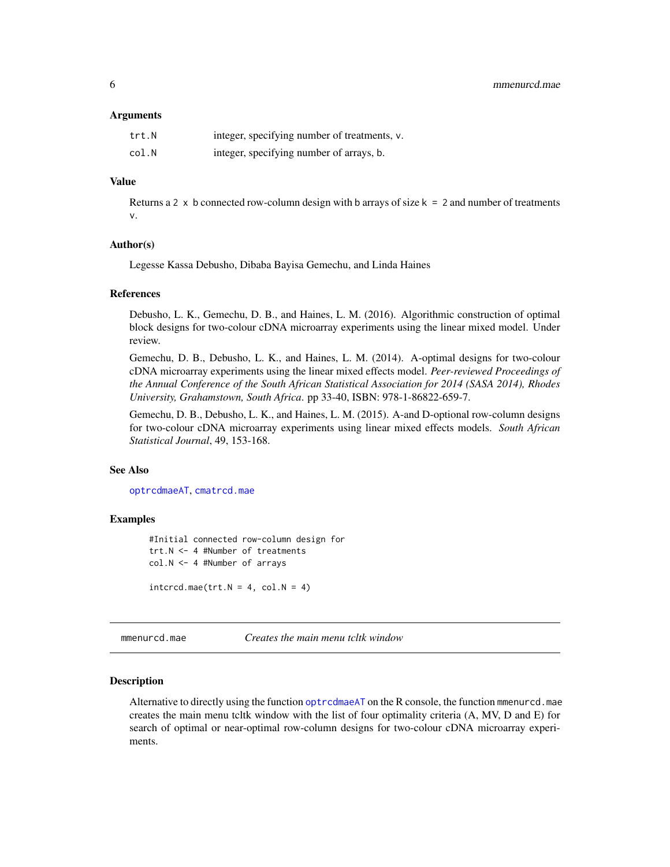<span id="page-5-0"></span>6 mmenurcd.mae

#### **Arguments**

| trt.N | integer, specifying number of treatments, v. |
|-------|----------------------------------------------|
| col.N | integer, specifying number of arrays, b.     |

## Value

Returns a 2  $\times$  b connected row-column design with b arrays of size  $k = 2$  and number of treatments v.

#### Author(s)

Legesse Kassa Debusho, Dibaba Bayisa Gemechu, and Linda Haines

#### References

Debusho, L. K., Gemechu, D. B., and Haines, L. M. (2016). Algorithmic construction of optimal block designs for two-colour cDNA microarray experiments using the linear mixed model. Under review.

Gemechu, D. B., Debusho, L. K., and Haines, L. M. (2014). A-optimal designs for two-colour cDNA microarray experiments using the linear mixed effects model. *Peer-reviewed Proceedings of the Annual Conference of the South African Statistical Association for 2014 (SASA 2014), Rhodes University, Grahamstown, South Africa*. pp 33-40, ISBN: 978-1-86822-659-7.

Gemechu, D. B., Debusho, L. K., and Haines, L. M. (2015). A-and D-optional row-column designs for two-colour cDNA microarray experiments using linear mixed effects models. *South African Statistical Journal*, 49, 153-168.

## See Also

[optrcdmaeAT](#page-6-1), [cmatrcd.mae](#page-1-1)

#### Examples

```
#Initial connected row-column design for
trt.N <- 4 #Number of treatments
col.N <- 4 #Number of arrays
interval.mac(trt.N = 4, col.N = 4)
```
<span id="page-5-1"></span>mmenurcd.mae *Creates the main menu tcltk window*

#### Description

Alternative to directly using the function [optrcdmaeAT](#page-6-1) on the R console, the function mmenurcd.mae creates the main menu tcltk window with the list of four optimality criteria (A, MV, D and E) for search of optimal or near-optimal row-column designs for two-colour cDNA microarray experiments.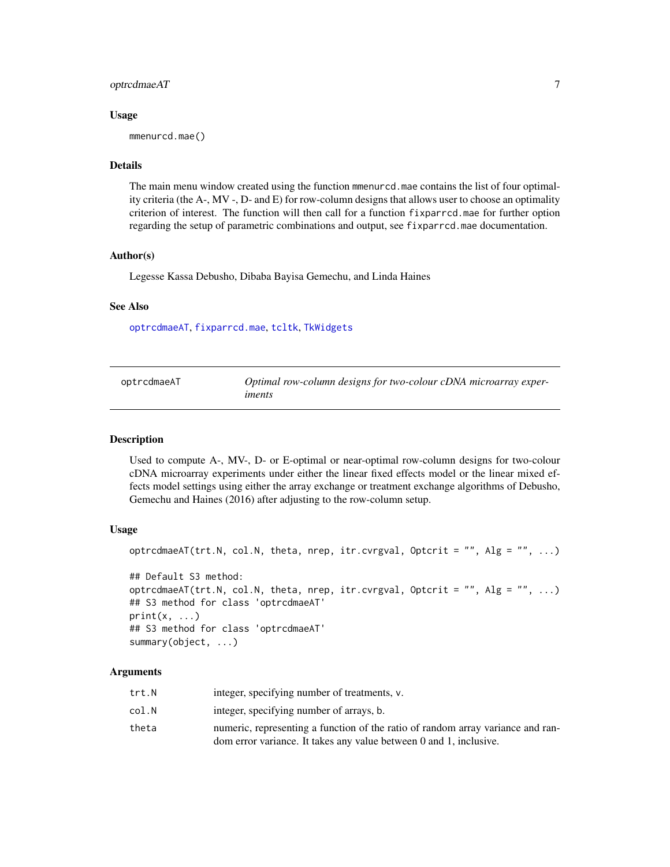## <span id="page-6-0"></span>optrcdmaeAT 7

#### Usage

mmenurcd.mae()

## **Details**

The main menu window created using the function mmenurcd.mae contains the list of four optimality criteria (the A-, MV -, D- and E) for row-column designs that allows user to choose an optimality criterion of interest. The function will then call for a function fixparrcd.mae for further option regarding the setup of parametric combinations and output, see fixparrcd.mae documentation.

#### Author(s)

Legesse Kassa Debusho, Dibaba Bayisa Gemechu, and Linda Haines

## See Also

[optrcdmaeAT](#page-6-1), [fixparrcd.mae](#page-2-1), [tcltk](#page-0-0), [TkWidgets](#page-0-0)

<span id="page-6-1"></span>

| optrcdmaeAT | Optimal row-column designs for two-colour cDNA microarray exper- |
|-------------|------------------------------------------------------------------|
|             | iments                                                           |

## Description

Used to compute A-, MV-, D- or E-optimal or near-optimal row-column designs for two-colour cDNA microarray experiments under either the linear fixed effects model or the linear mixed effects model settings using either the array exchange or treatment exchange algorithms of Debusho, Gemechu and Haines (2016) after adjusting to the row-column setup.

## Usage

```
optrcdmaeAT(trt.N, col.N, theta, nrep, itr.cvrgval, Optcrit = ", Alg = ", ...)
## Default S3 method:
optrcdmaeAT(trt.N, col.N, theta, nrep, itr.cvrgval, Optcrit = "", Alg = "", ...)
## S3 method for class 'optrcdmaeAT'
print(x, \ldots)## S3 method for class 'optrcdmaeAT'
summary(object, ...)
```
#### Arguments

| trt.N | integer, specifying number of treatments, v.                                    |
|-------|---------------------------------------------------------------------------------|
| col.N | integer, specifying number of arrays, b.                                        |
| theta | numeric, representing a function of the ratio of random array variance and ran- |
|       | dom error variance. It takes any value between 0 and 1, inclusive.              |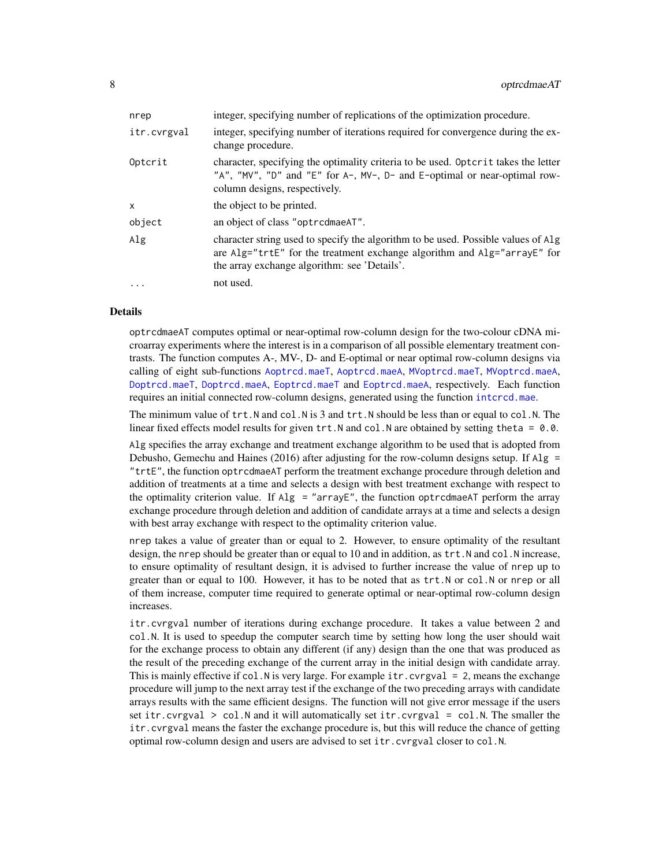<span id="page-7-0"></span>

| nrep                        | integer, specifying number of replications of the optimization procedure.                                                                                                                                     |
|-----------------------------|---------------------------------------------------------------------------------------------------------------------------------------------------------------------------------------------------------------|
| itr.cvrgval                 | integer, specifying number of iterations required for convergence during the ex-<br>change procedure.                                                                                                         |
| Optcrit                     | character, specifying the optimality criteria to be used. Optorit takes the letter<br>"A", "MV", "D" and "E" for A-, MV-, D- and E-optimal or near-optimal row-<br>column designs, respectively.              |
| $\mathsf{x}$                | the object to be printed.                                                                                                                                                                                     |
| object                      | an object of class "optrcdmaeAT".                                                                                                                                                                             |
| $\mathop{\rm Alg}\nolimits$ | character string used to specify the algorithm to be used. Possible values of Alg<br>are Alg="trtE" for the treatment exchange algorithm and Alg="arrayE" for<br>the array exchange algorithm: see 'Details'. |
| $\ddotsc$                   | not used.                                                                                                                                                                                                     |
|                             |                                                                                                                                                                                                               |

## Details

optrcdmaeAT computes optimal or near-optimal row-column design for the two-colour cDNA microarray experiments where the interest is in a comparison of all possible elementary treatment contrasts. The function computes A-, MV-, D- and E-optimal or near optimal row-column designs via calling of eight sub-functions [Aoptrcd.maeT](#page-9-1), [Aoptrcd.maeA](#page-9-1), [MVoptrcd.maeT](#page-9-1), [MVoptrcd.maeA](#page-9-1), [Doptrcd.maeT](#page-9-1), [Doptrcd.maeA](#page-9-1), [Eoptrcd.maeT](#page-9-1) and [Eoptrcd.maeA](#page-9-1), respectively. Each function requires an initial connected row-column designs, generated using the function [intcrcd.mae](#page-4-1).

The minimum value of trt.N and col.N is 3 and trt.N should be less than or equal to col.N. The linear fixed effects model results for given  $trt$ . N and col. N are obtained by setting theta = 0.0.

Alg specifies the array exchange and treatment exchange algorithm to be used that is adopted from Debusho, Gemechu and Haines (2016) after adjusting for the row-column designs setup. If  $\text{Alg} =$ "trtE", the function optrcdmaeAT perform the treatment exchange procedure through deletion and addition of treatments at a time and selects a design with best treatment exchange with respect to the optimality criterion value. If  $Alg = "array"$ , the function optrcdmaeAT perform the array exchange procedure through deletion and addition of candidate arrays at a time and selects a design with best array exchange with respect to the optimality criterion value.

nrep takes a value of greater than or equal to 2. However, to ensure optimality of the resultant design, the nrep should be greater than or equal to 10 and in addition, as trt. N and col. N increase, to ensure optimality of resultant design, it is advised to further increase the value of nrep up to greater than or equal to 100. However, it has to be noted that as trt.N or col.N or nrep or all of them increase, computer time required to generate optimal or near-optimal row-column design increases.

itr.cvrgval number of iterations during exchange procedure. It takes a value between 2 and col.N. It is used to speedup the computer search time by setting how long the user should wait for the exchange process to obtain any different (if any) design than the one that was produced as the result of the preceding exchange of the current array in the initial design with candidate array. This is mainly effective if col. N is very large. For example  $\text{itr}$ , cvrgval = 2, means the exchange procedure will jump to the next array test if the exchange of the two preceding arrays with candidate arrays results with the same efficient designs. The function will not give error message if the users set itr.cvrgval > col.N and it will automatically set itr.cvrgval = col.N. The smaller the itr.cvrgval means the faster the exchange procedure is, but this will reduce the chance of getting optimal row-column design and users are advised to set itr.cvrgval closer to col.N.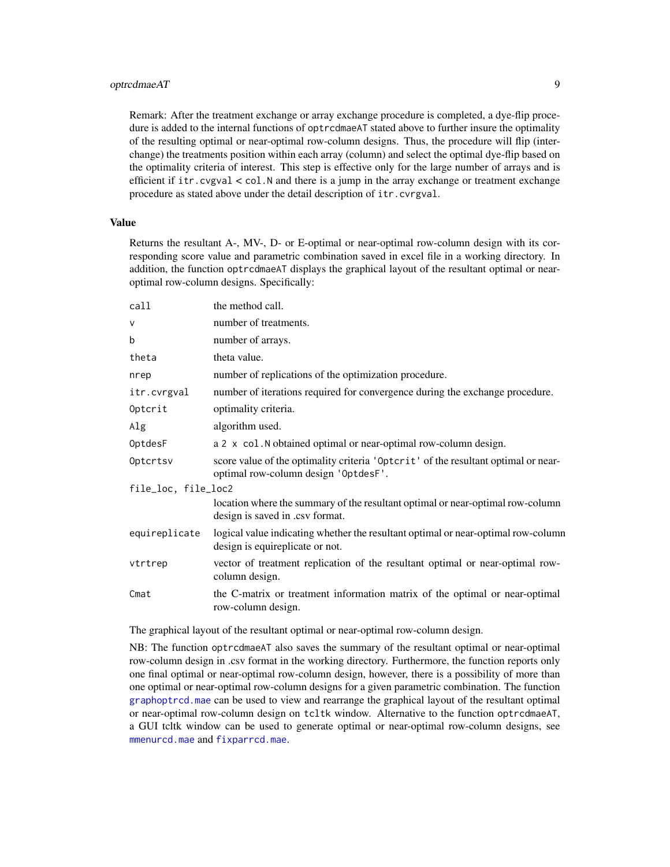## <span id="page-8-0"></span>optrcdmaeAT 9

Remark: After the treatment exchange or array exchange procedure is completed, a dye-flip procedure is added to the internal functions of optrcdmaeAT stated above to further insure the optimality of the resulting optimal or near-optimal row-column designs. Thus, the procedure will flip (interchange) the treatments position within each array (column) and select the optimal dye-flip based on the optimality criteria of interest. This step is effective only for the large number of arrays and is efficient if itr.cvgval < col.N and there is a jump in the array exchange or treatment exchange procedure as stated above under the detail description of itr.cvrgval.

## Value

Returns the resultant A-, MV-, D- or E-optimal or near-optimal row-column design with its corresponding score value and parametric combination saved in excel file in a working directory. In addition, the function optrcdmaeAT displays the graphical layout of the resultant optimal or nearoptimal row-column designs. Specifically:

| call                | the method call.                                                                                                           |
|---------------------|----------------------------------------------------------------------------------------------------------------------------|
| $\vee$              | number of treatments.                                                                                                      |
| b                   | number of arrays.                                                                                                          |
| theta               | theta value.                                                                                                               |
| nrep                | number of replications of the optimization procedure.                                                                      |
| itr.cvrgval         | number of iterations required for convergence during the exchange procedure.                                               |
| Optcrit             | optimality criteria.                                                                                                       |
| Alg                 | algorithm used.                                                                                                            |
| OptdesF             | a 2 x col. N obtained optimal or near-optimal row-column design.                                                           |
| Optcrtsv            | score value of the optimality criteria 'Optcrit' of the resultant optimal or near-<br>optimal row-column design 'OptdesF'. |
| file_loc, file_loc2 |                                                                                                                            |
|                     | location where the summary of the resultant optimal or near-optimal row-column<br>design is saved in .csv format.          |
| equireplicate       | logical value indicating whether the resultant optimal or near-optimal row-column<br>design is equireplicate or not.       |
| vtrtrep             | vector of treatment replication of the resultant optimal or near-optimal row-<br>column design.                            |
| Cmat                | the C-matrix or treatment information matrix of the optimal or near-optimal<br>row-column design.                          |

The graphical layout of the resultant optimal or near-optimal row-column design.

NB: The function optrcdmaeAT also saves the summary of the resultant optimal or near-optimal row-column design in .csv format in the working directory. Furthermore, the function reports only one final optimal or near-optimal row-column design, however, there is a possibility of more than one optimal or near-optimal row-column designs for a given parametric combination. The function [graphoptrcd.mae](#page-3-1) can be used to view and rearrange the graphical layout of the resultant optimal or near-optimal row-column design on tcltk window. Alternative to the function optrcdmaeAT, a GUI tcltk window can be used to generate optimal or near-optimal row-column designs, see [mmenurcd.mae](#page-5-1) and [fixparrcd.mae](#page-2-1).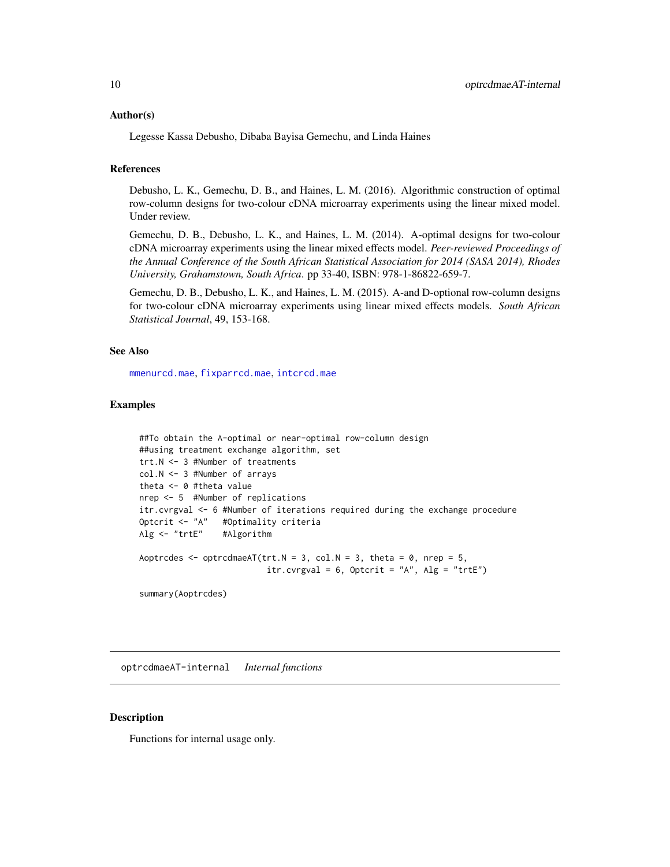#### <span id="page-9-0"></span>Author(s)

Legesse Kassa Debusho, Dibaba Bayisa Gemechu, and Linda Haines

## References

Debusho, L. K., Gemechu, D. B., and Haines, L. M. (2016). Algorithmic construction of optimal row-column designs for two-colour cDNA microarray experiments using the linear mixed model. Under review.

Gemechu, D. B., Debusho, L. K., and Haines, L. M. (2014). A-optimal designs for two-colour cDNA microarray experiments using the linear mixed effects model. *Peer-reviewed Proceedings of the Annual Conference of the South African Statistical Association for 2014 (SASA 2014), Rhodes University, Grahamstown, South Africa*. pp 33-40, ISBN: 978-1-86822-659-7.

Gemechu, D. B., Debusho, L. K., and Haines, L. M. (2015). A-and D-optional row-column designs for two-colour cDNA microarray experiments using linear mixed effects models. *South African Statistical Journal*, 49, 153-168.

## See Also

[mmenurcd.mae](#page-5-1), [fixparrcd.mae](#page-2-1), [intcrcd.mae](#page-4-1)

## Examples

```
##To obtain the A-optimal or near-optimal row-column design
##using treatment exchange algorithm, set
trt.N <- 3 #Number of treatments
col.N <- 3 #Number of arrays
theta <- 0 #theta value
nrep <- 5 #Number of replications
itr.cvrgval <- 6 #Number of iterations required during the exchange procedure
Optcrit <- "A" #Optimality criteria
Alg <- "trtE" #Algorithm
Aoptrcdes \leq optrcdmaeAT(trt.N = 3, col.N = 3, theta = 0, nrep = 5,
                          itr.cvrgval = 6, Optcrit = "A", Alg = "trtE")
```
summary(Aoptrcdes)

optrcdmaeAT-internal *Internal functions*

## <span id="page-9-1"></span>Description

Functions for internal usage only.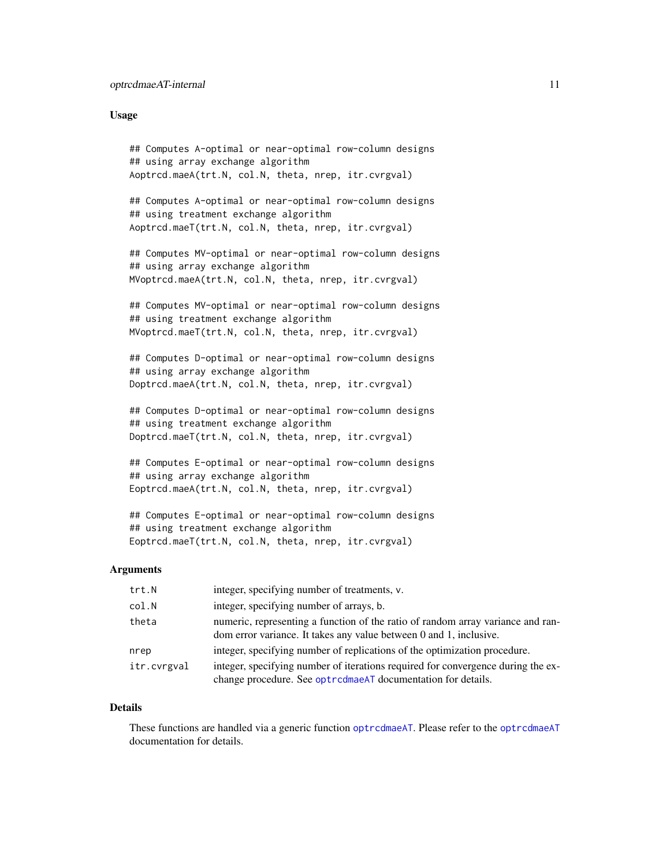#### <span id="page-10-0"></span>Usage

```
## Computes A-optimal or near-optimal row-column designs
## using array exchange algorithm
Aoptrcd.maeA(trt.N, col.N, theta, nrep, itr.cvrgval)
```

```
## Computes A-optimal or near-optimal row-column designs
## using treatment exchange algorithm
Aoptrcd.maeT(trt.N, col.N, theta, nrep, itr.cvrgval)
```

```
## Computes MV-optimal or near-optimal row-column designs
## using array exchange algorithm
MVoptrcd.maeA(trt.N, col.N, theta, nrep, itr.cvrgval)
```
## Computes MV-optimal or near-optimal row-column designs ## using treatment exchange algorithm MVoptrcd.maeT(trt.N, col.N, theta, nrep, itr.cvrgval)

```
## Computes D-optimal or near-optimal row-column designs
## using array exchange algorithm
Doptrcd.maeA(trt.N, col.N, theta, nrep, itr.cvrgval)
```

```
## Computes D-optimal or near-optimal row-column designs
## using treatment exchange algorithm
Doptrcd.maeT(trt.N, col.N, theta, nrep, itr.cvrgval)
```

```
## Computes E-optimal or near-optimal row-column designs
## using array exchange algorithm
Eoptrcd.maeA(trt.N, col.N, theta, nrep, itr.cvrgval)
```

```
## Computes E-optimal or near-optimal row-column designs
## using treatment exchange algorithm
Eoptrcd.maeT(trt.N, col.N, theta, nrep, itr.cvrgval)
```
#### Arguments

| trt.N       | integer, specifying number of treatments, v.                                                                                                          |
|-------------|-------------------------------------------------------------------------------------------------------------------------------------------------------|
| col.N       | integer, specifying number of arrays, b.                                                                                                              |
| theta       | numeric, representing a function of the ratio of random array variance and ran-<br>dom error variance. It takes any value between 0 and 1, inclusive. |
| nrep        | integer, specifying number of replications of the optimization procedure.                                                                             |
| itr.cvrgval | integer, specifying number of iterations required for convergence during the ex-<br>change procedure. See optrcdmaeAT documentation for details.      |

#### Details

These functions are handled via a generic function [optrcdmaeAT](#page-6-1). Please refer to the [optrcdmaeAT](#page-6-1) documentation for details.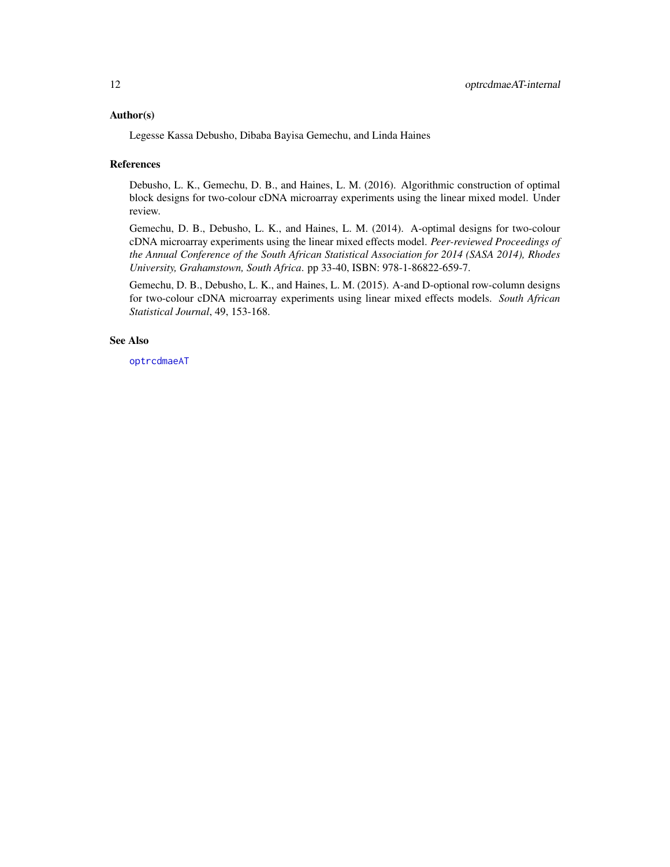#### <span id="page-11-0"></span>Author(s)

Legesse Kassa Debusho, Dibaba Bayisa Gemechu, and Linda Haines

#### References

Debusho, L. K., Gemechu, D. B., and Haines, L. M. (2016). Algorithmic construction of optimal block designs for two-colour cDNA microarray experiments using the linear mixed model. Under review.

Gemechu, D. B., Debusho, L. K., and Haines, L. M. (2014). A-optimal designs for two-colour cDNA microarray experiments using the linear mixed effects model. *Peer-reviewed Proceedings of the Annual Conference of the South African Statistical Association for 2014 (SASA 2014), Rhodes University, Grahamstown, South Africa*. pp 33-40, ISBN: 978-1-86822-659-7.

Gemechu, D. B., Debusho, L. K., and Haines, L. M. (2015). A-and D-optional row-column designs for two-colour cDNA microarray experiments using linear mixed effects models. *South African Statistical Journal*, 49, 153-168.

## See Also

[optrcdmaeAT](#page-6-1)